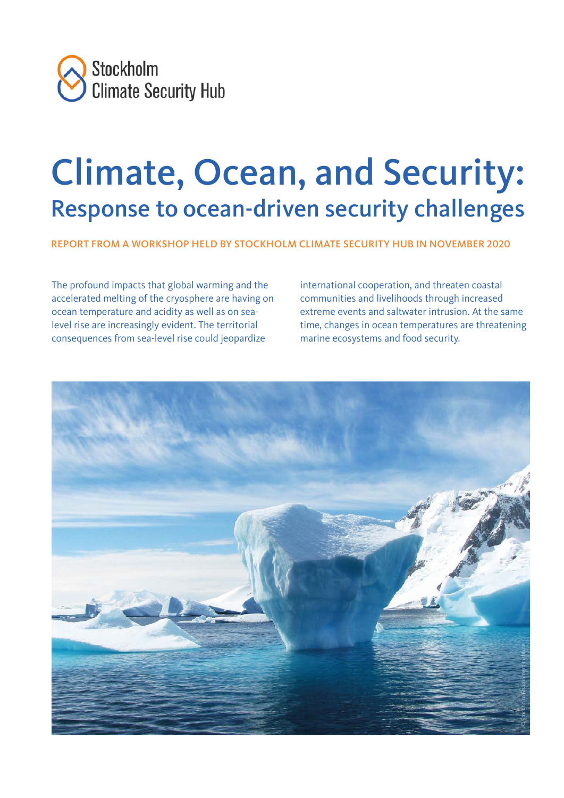

# Climate, Ocean, and Security: Response to ocean-driven security challenges

REPORT FROM A WORKSHOP HELD BY STOCKHOLM CLIMATE SECURITY HUB IN NOVEMBER 2020

The profound impacts that global warming and the accelerated melting of the cryosphere are having on ocean temperature and acidity as well as on sealevel rise are increasingly evident. The territorial consequences from sea-level rise could jeopardize

international cooperation, and threaten coastal communities and livelihoods through increased extreme events and saltwater intrusion. At the same time, changes in ocean temperatures are threatening marine ecosystems and food security.

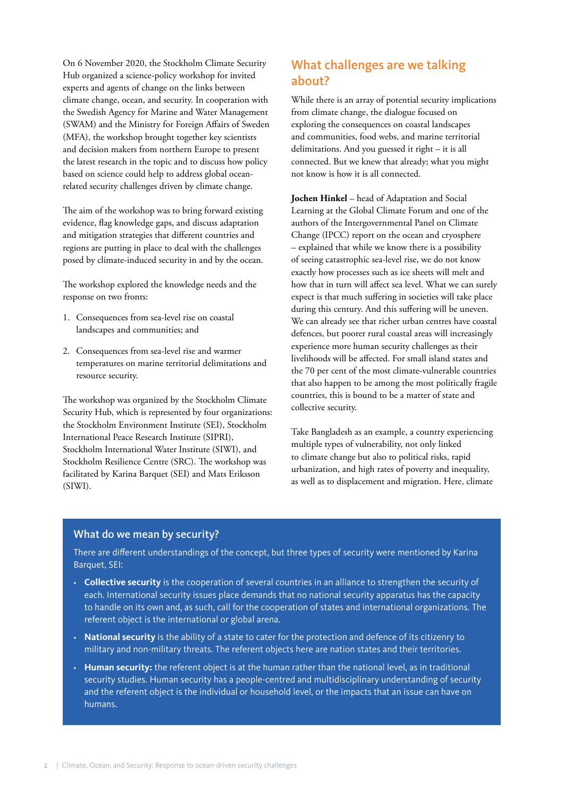On 6 November 2020, the Stockholm Climate Security Hub organized a science-policy workshop for invited experts and agents of change on the links between climate change, ocean, and security. In cooperation with the Swedish Agency for Marine and Water Management (SWAM) and the Ministry for Foreign Affairs of Sweden (MFA), the workshop brought together key scientists and decision makers from northern Europe to present the latest research in the topic and to discuss how policy based on science could help to address global oceanrelated security challenges driven by climate change.

The aim of the workshop was to bring forward existing evidence, flag knowledge gaps, and discuss adaptation and mitigation strategies that different countries and regions are putting in place to deal with the challenges posed by climate-induced security in and by the ocean.

The workshop explored the knowledge needs and the response on two fronts:

- 1. Consequences from sea-level rise on coastal landscapes and communities; and
- 2. Consequences from sea-level rise and warmer temperatures on marine territorial delimitations and resource security.

The workshop was organized by the Stockholm Climate Security Hub, which is represented by four organizations: the Stockholm Environment Institute (SEI), Stockholm International Peace Research Institute (SIPRI), Stockholm International Water Institute (SIWI), and Stockholm Resilience Centre (SRC). The workshop was facilitated by Karina Barquet (SEI) and Mats Eriksson (SIWI).

# What challenges are we talking about?

While there is an array of potential security implications from climate change, the dialogue focused on exploring the consequences on coastal landscapes and communities, food webs, and marine territorial delimitations. And you guessed it right – it is all connected. But we knew that already; what you might not know is how it is all connected.

**Jochen Hinkel** – head of Adaptation and Social Learning at the Global Climate Forum and one of the authors of the Intergovernmental Panel on Climate Change (IPCC) report on the ocean and cryosphere – explained that while we know there is a possibility of seeing catastrophic sea-level rise, we do not know exactly how processes such as ice sheets will melt and how that in turn will affect sea level. What we can surely expect is that much suffering in societies will take place during this century. And this suffering will be uneven. We can already see that richer urban centres have coastal defences, but poorer rural coastal areas will increasingly experience more human security challenges as their livelihoods will be affected. For small island states and the 70 per cent of the most climate-vulnerable countries that also happen to be among the most politically fragile countries, this is bound to be a matter of state and collective security.

Take Bangladesh as an example, a country experiencing multiple types of vulnerability, not only linked to climate change but also to political risks, rapid urbanization, and high rates of poverty and inequality, as well as to displacement and migration. Here, climate

### What do we mean by security?

There are different understandings of the concept, but three types of security were mentioned by Karina Barquet, SEI:

- **Collective security** is the cooperation of several countries in an alliance to strengthen the security of each. International security issues place demands that no national security apparatus has the capacity to handle on its own and, as such, call for the cooperation of states and international organizations. The referent object is the international or global arena.
- **National security** is the ability of a state to cater for the protection and defence of its citizenry to military and non-military threats. The referent objects here are nation states and their territories.
- **Human security:** the referent object is at the human rather than the national level, as in traditional security studies. Human security has a people-centred and multidisciplinary understanding of security and the referent object is the individual or household level, or the impacts that an issue can have on humans.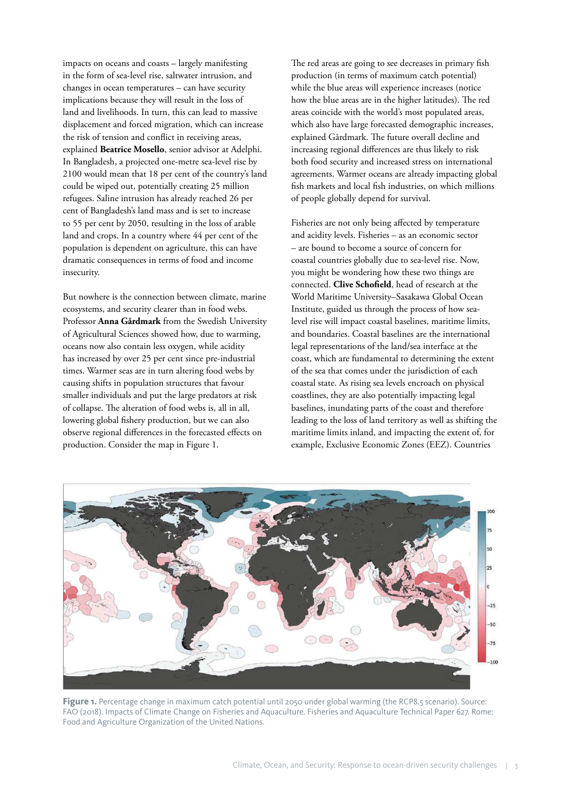impacts on oceans and coasts – largely manifesting in the form of sea-level rise, saltwater intrusion, and changes in ocean temperatures – can have security implications because they will result in the loss of land and livelihoods. In turn, this can lead to massive displacement and forced migration, which can increase the risk of tension and conflict in receiving areas, explained **Beatrice Mosello**, senior advisor at Adelphi. In Bangladesh, a projected one-metre sea-level rise by 2100 would mean that 18 per cent of the country's land could be wiped out, potentially creating 25 million refugees. Saline intrusion has already reached 26 per cent of Bangladesh's land mass and is set to increase to 55 per cent by 2050, resulting in the loss of arable land and crops. In a country where 44 per cent of the population is dependent on agriculture, this can have dramatic consequences in terms of food and income insecurity.

But nowhere is the connection between climate, marine ecosystems, and security clearer than in food webs. Professor **Anna Gårdmark** from the Swedish University of Agricultural Sciences showed how, due to warming, oceans now also contain less oxygen, while acidity has increased by over 25 per cent since pre-industrial times. Warmer seas are in turn altering food webs by causing shifts in population structures that favour smaller individuals and put the large predators at risk of collapse. The alteration of food webs is, all in all, lowering global fishery production, but we can also observe regional differences in the forecasted effects on production. Consider the map in Figure 1.

The red areas are going to see decreases in primary fish production (in terms of maximum catch potential) while the blue areas will experience increases (notice how the blue areas are in the higher latitudes). The red areas coincide with the world's most populated areas, which also have large forecasted demographic increases, explained Gårdmark. The future overall decline and increasing regional differences are thus likely to risk both food security and increased stress on international agreements. Warmer oceans are already impacting global fish markets and local fish industries, on which millions of people globally depend for survival.

Fisheries are not only being affected by temperature and acidity levels. Fisheries – as an economic sector – are bound to become a source of concern for coastal countries globally due to sea-level rise. Now, you might be wondering how these two things are connected. **Clive Schofield**, head of research at the World Maritime University–Sasakawa Global Ocean Institute, guided us through the process of how sealevel rise will impact coastal baselines, maritime limits, and boundaries. Coastal baselines are the international legal representations of the land/sea interface at the coast, which are fundamental to determining the extent of the sea that comes under the jurisdiction of each coastal state. As rising sea levels encroach on physical coastlines, they are also potentially impacting legal baselines, inundating parts of the coast and therefore leading to the loss of land territory as well as shifting the maritime limits inland, and impacting the extent of, for example, Exclusive Economic Zones (EEZ). Countries



Figure 1. Percentage change in maximum catch potential until 2050 under global warming (the RCP8.5 scenario). Source: FAO (2018). Impacts of Climate Change on Fisheries and Aquaculture. Fisheries and Aquaculture Technical Paper 627. Rome: Food and Agriculture Organization of the United Nations.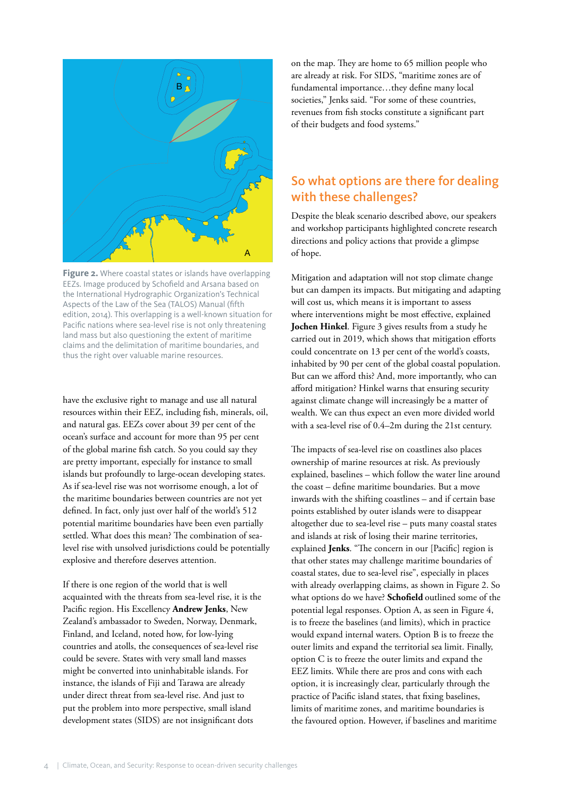

Figure 2. Where coastal states or islands have overlapping EEZs. Image produced by Schofield and Arsana based on the International Hydrographic Organization's Technical Aspects of the Law of the Sea (TALOS) Manual (fifth edition, 2014). This overlapping is a well-known situation for Pacific nations where sea-level rise is not only threatening land mass but also questioning the extent of maritime claims and the delimitation of maritime boundaries, and thus the right over valuable marine resources.

have the exclusive right to manage and use all natural resources within their EEZ, including fish, minerals, oil, and natural gas. EEZs cover about 39 per cent of the ocean's surface and account for more than 95 per cent of the global marine fish catch. So you could say they are pretty important, especially for instance to small islands but profoundly to large-ocean developing states. As if sea-level rise was not worrisome enough, a lot of the maritime boundaries between countries are not yet defined. In fact, only just over half of the world's 512 potential maritime boundaries have been even partially settled. What does this mean? The combination of sealevel rise with unsolved jurisdictions could be potentially explosive and therefore deserves attention.

If there is one region of the world that is well acquainted with the threats from sea-level rise, it is the Pacific region. His Excellency **Andrew Jenks**, New Zealand's ambassador to Sweden, Norway, Denmark, Finland, and Iceland, noted how, for low-lying countries and atolls, the consequences of sea-level rise could be severe. States with very small land masses might be converted into uninhabitable islands. For instance, the islands of Fiji and Tarawa are already under direct threat from sea-level rise. And just to put the problem into more perspective, small island development states (SIDS) are not insignificant dots

on the map. They are home to 65 million people who are already at risk. For SIDS, "maritime zones are of fundamental importance…they define many local societies," Jenks said. "For some of these countries, revenues from fish stocks constitute a significant part of their budgets and food systems."

## So what options are there for dealing with these challenges?

Despite the bleak scenario described above, our speakers and workshop participants highlighted concrete research directions and policy actions that provide a glimpse of hope.

Mitigation and adaptation will not stop climate change but can dampen its impacts. But mitigating and adapting will cost us, which means it is important to assess where interventions might be most effective, explained **Jochen Hinkel**. Figure 3 gives results from a study he carried out in 2019, which shows that mitigation efforts could concentrate on 13 per cent of the world's coasts, inhabited by 90 per cent of the global coastal population. But can we afford this? And, more importantly, who can afford mitigation? Hinkel warns that ensuring security against climate change will increasingly be a matter of wealth. We can thus expect an even more divided world with a sea-level rise of 0.4–2m during the 21st century.

The impacts of sea-level rise on coastlines also places ownership of marine resources at risk. As previously explained, baselines – which follow the water line around the coast – define maritime boundaries. But a move inwards with the shifting coastlines – and if certain base points established by outer islands were to disappear altogether due to sea-level rise – puts many coastal states and islands at risk of losing their marine territories, explained **Jenks**. "The concern in our [Pacific] region is that other states may challenge maritime boundaries of coastal states, due to sea-level rise", especially in places with already overlapping claims, as shown in Figure 2. So what options do we have? **Schofield** outlined some of the potential legal responses. Option A, as seen in Figure 4, is to freeze the baselines (and limits), which in practice would expand internal waters. Option B is to freeze the outer limits and expand the territorial sea limit. Finally, option C is to freeze the outer limits and expand the EEZ limits. While there are pros and cons with each option, it is increasingly clear, particularly through the practice of Pacific island states, that fixing baselines, limits of maritime zones, and maritime boundaries is the favoured option. However, if baselines and maritime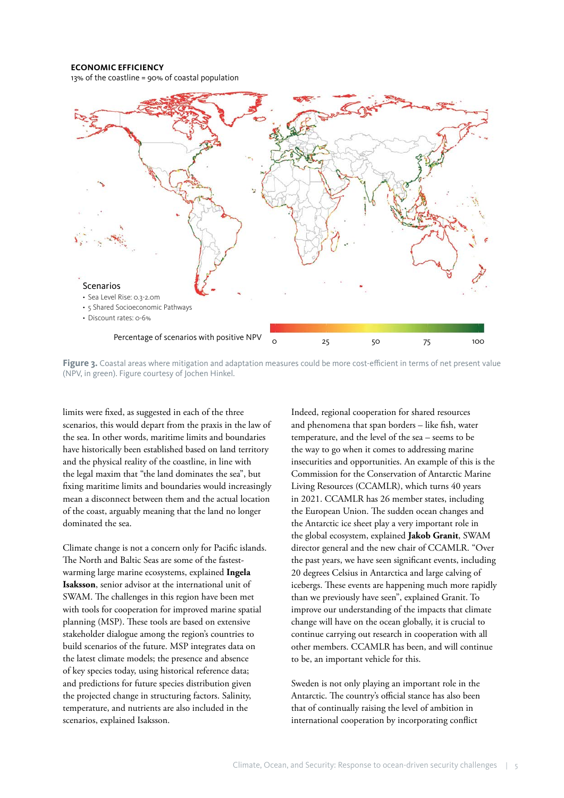#### **ECONOMIC EFFICIENCY**

13% of the coastline = 90% of coastal population



Figure 3. Coastal areas where mitigation and adaptation measures could be more cost-efficient in terms of net present value (NPV, in green). Figure courtesy of Jochen Hinkel.

limits were fixed, as suggested in each of the three scenarios, this would depart from the praxis in the law of the sea. In other words, maritime limits and boundaries have historically been established based on land territory and the physical reality of the coastline, in line with the legal maxim that "the land dominates the sea", but fixing maritime limits and boundaries would increasingly mean a disconnect between them and the actual location of the coast, arguably meaning that the land no longer dominated the sea.

Climate change is not a concern only for Pacific islands. The North and Baltic Seas are some of the fastestwarming large marine ecosystems, explained **Ingela Isaksson**, senior advisor at the international unit of SWAM. The challenges in this region have been met with tools for cooperation for improved marine spatial planning (MSP). These tools are based on extensive stakeholder dialogue among the region's countries to build scenarios of the future. MSP integrates data on the latest climate models; the presence and absence of key species today, using historical reference data; and predictions for future species distribution given the projected change in structuring factors. Salinity, temperature, and nutrients are also included in the scenarios, explained Isaksson.

Indeed, regional cooperation for shared resources and phenomena that span borders – like fish, water temperature, and the level of the sea – seems to be the way to go when it comes to addressing marine insecurities and opportunities. An example of this is the Commission for the Conservation of Antarctic Marine Living Resources (CCAMLR), which turns 40 years in 2021. CCAMLR has 26 member states, including the European Union. The sudden ocean changes and the Antarctic ice sheet play a very important role in the global ecosystem, explained **Jakob Granit**, SWAM director general and the new chair of CCAMLR. "Over the past years, we have seen significant events, including 20 degrees Celsius in Antarctica and large calving of icebergs. These events are happening much more rapidly than we previously have seen", explained Granit. To improve our understanding of the impacts that climate change will have on the ocean globally, it is crucial to continue carrying out research in cooperation with all other members. CCAMLR has been, and will continue to be, an important vehicle for this.

Sweden is not only playing an important role in the Antarctic. The country's official stance has also been that of continually raising the level of ambition in international cooperation by incorporating conflict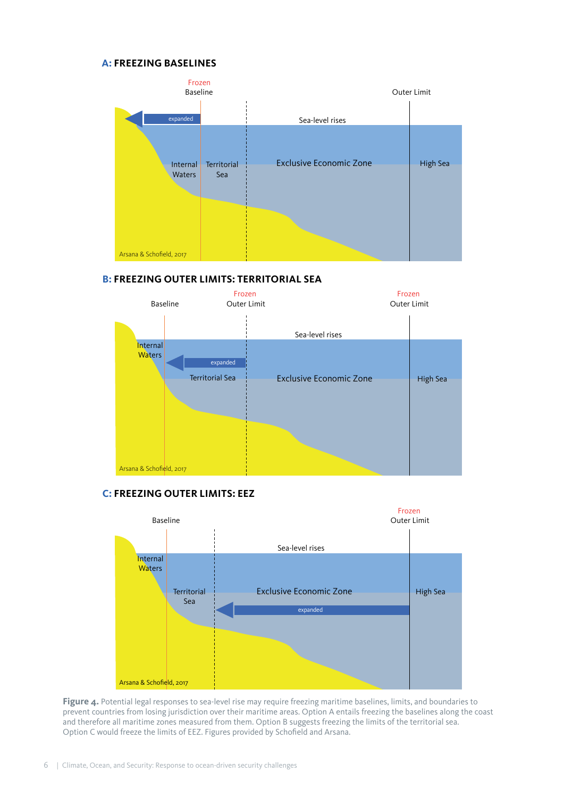#### **A: FREEZING BASELINES**



## **B: FREEZING OUTER LIMITS: TERRITORIAL SEA**



## **C: FREEZING OUTER LIMITS: EEZ**



Figure 4. Potential legal responses to sea-level rise may require freezing maritime baselines, limits, and boundaries to prevent countries from losing jurisdiction over their maritime areas. Option A entails freezing the baselines along the coast and therefore all maritime zones measured from them. Option B suggests freezing the limits of the territorial sea. Option C would freeze the limits of EEZ. Figures provided by Schofield and Arsana.